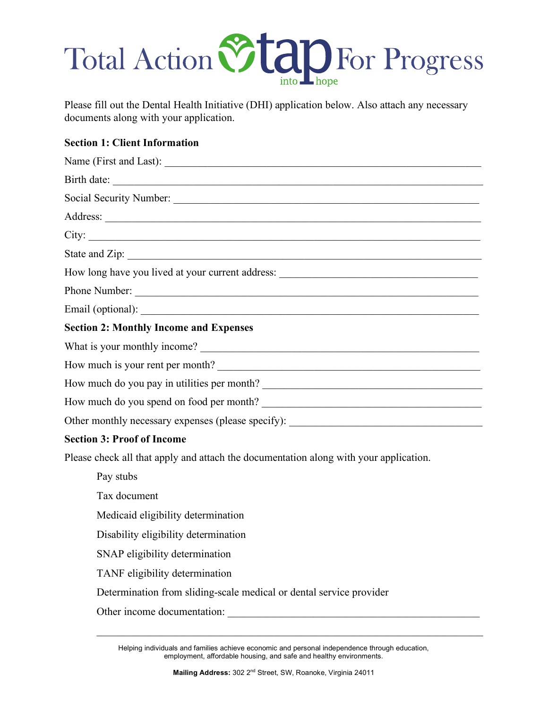### Total Action Vtap For Progress

Please fill out the Dental Health Initiative (DHI) application below. Also attach any necessary documents along with your application.

### **Section 1: Client Information**

| Birth date:                                                                           |  |  |  |  |
|---------------------------------------------------------------------------------------|--|--|--|--|
|                                                                                       |  |  |  |  |
|                                                                                       |  |  |  |  |
|                                                                                       |  |  |  |  |
|                                                                                       |  |  |  |  |
| How long have you lived at your current address: ________________________________     |  |  |  |  |
|                                                                                       |  |  |  |  |
|                                                                                       |  |  |  |  |
| <b>Section 2: Monthly Income and Expenses</b>                                         |  |  |  |  |
|                                                                                       |  |  |  |  |
| How much is your rent per month?                                                      |  |  |  |  |
| How much do you pay in utilities per month?                                           |  |  |  |  |
| How much do you spend on food per month?                                              |  |  |  |  |
|                                                                                       |  |  |  |  |
| <b>Section 3: Proof of Income</b>                                                     |  |  |  |  |
| Please check all that apply and attach the documentation along with your application. |  |  |  |  |
| Pay stubs                                                                             |  |  |  |  |
| Tax document                                                                          |  |  |  |  |
| Medicaid eligibility determination                                                    |  |  |  |  |
| Disability eligibility determination                                                  |  |  |  |  |
| SNAP eligibility determination                                                        |  |  |  |  |
| TANF eligibility determination                                                        |  |  |  |  |
| Determination from sliding-scale medical or dental service provider                   |  |  |  |  |
| Other income documentation:                                                           |  |  |  |  |

Helping individuals and families achieve economic and personal independence through education, employment, affordable housing, and safe and healthy environments.

 $\mathcal{L}_\text{max} = \mathcal{L}_\text{max} = \mathcal{L}_\text{max} = \mathcal{L}_\text{max} = \mathcal{L}_\text{max} = \mathcal{L}_\text{max} = \mathcal{L}_\text{max} = \mathcal{L}_\text{max} = \mathcal{L}_\text{max} = \mathcal{L}_\text{max} = \mathcal{L}_\text{max} = \mathcal{L}_\text{max} = \mathcal{L}_\text{max} = \mathcal{L}_\text{max} = \mathcal{L}_\text{max} = \mathcal{L}_\text{max} = \mathcal{L}_\text{max} = \mathcal{L}_\text{max} = \mathcal{$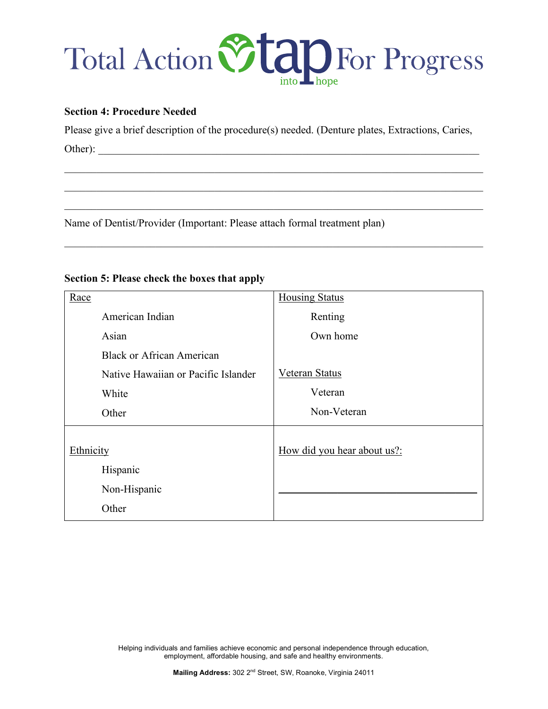## Total Action Vtap For Progress

#### **Section 4: Procedure Needed**

Please give a brief description of the procedure(s) needed. (Denture plates, Extractions, Caries, Other): \_\_\_\_\_\_\_\_\_\_\_\_\_\_\_\_\_\_\_\_\_\_\_\_\_\_\_\_\_\_\_\_\_\_\_\_\_\_\_\_\_\_\_\_\_\_\_\_\_\_\_\_\_\_\_\_\_\_\_\_\_\_\_\_\_\_\_\_\_\_\_

 $\mathcal{L}_\mathcal{L} = \{ \mathcal{L}_\mathcal{L} = \{ \mathcal{L}_\mathcal{L} = \{ \mathcal{L}_\mathcal{L} = \{ \mathcal{L}_\mathcal{L} = \{ \mathcal{L}_\mathcal{L} = \{ \mathcal{L}_\mathcal{L} = \{ \mathcal{L}_\mathcal{L} = \{ \mathcal{L}_\mathcal{L} = \{ \mathcal{L}_\mathcal{L} = \{ \mathcal{L}_\mathcal{L} = \{ \mathcal{L}_\mathcal{L} = \{ \mathcal{L}_\mathcal{L} = \{ \mathcal{L}_\mathcal{L} = \{ \mathcal{L}_\mathcal{$ 

 $\mathcal{L}_\mathcal{L} = \{ \mathcal{L}_\mathcal{L} = \{ \mathcal{L}_\mathcal{L} = \{ \mathcal{L}_\mathcal{L} = \{ \mathcal{L}_\mathcal{L} = \{ \mathcal{L}_\mathcal{L} = \{ \mathcal{L}_\mathcal{L} = \{ \mathcal{L}_\mathcal{L} = \{ \mathcal{L}_\mathcal{L} = \{ \mathcal{L}_\mathcal{L} = \{ \mathcal{L}_\mathcal{L} = \{ \mathcal{L}_\mathcal{L} = \{ \mathcal{L}_\mathcal{L} = \{ \mathcal{L}_\mathcal{L} = \{ \mathcal{L}_\mathcal{$ 

 $\mathcal{L}_\mathcal{L} = \{ \mathcal{L}_\mathcal{L} = \{ \mathcal{L}_\mathcal{L} = \{ \mathcal{L}_\mathcal{L} = \{ \mathcal{L}_\mathcal{L} = \{ \mathcal{L}_\mathcal{L} = \{ \mathcal{L}_\mathcal{L} = \{ \mathcal{L}_\mathcal{L} = \{ \mathcal{L}_\mathcal{L} = \{ \mathcal{L}_\mathcal{L} = \{ \mathcal{L}_\mathcal{L} = \{ \mathcal{L}_\mathcal{L} = \{ \mathcal{L}_\mathcal{L} = \{ \mathcal{L}_\mathcal{L} = \{ \mathcal{L}_\mathcal{$ 

 $\mathcal{L}_\mathcal{L} = \{ \mathcal{L}_\mathcal{L} = \{ \mathcal{L}_\mathcal{L} = \{ \mathcal{L}_\mathcal{L} = \{ \mathcal{L}_\mathcal{L} = \{ \mathcal{L}_\mathcal{L} = \{ \mathcal{L}_\mathcal{L} = \{ \mathcal{L}_\mathcal{L} = \{ \mathcal{L}_\mathcal{L} = \{ \mathcal{L}_\mathcal{L} = \{ \mathcal{L}_\mathcal{L} = \{ \mathcal{L}_\mathcal{L} = \{ \mathcal{L}_\mathcal{L} = \{ \mathcal{L}_\mathcal{L} = \{ \mathcal{L}_\mathcal{$ 

Name of Dentist/Provider (Important: Please attach formal treatment plan)

| <b>Section 5: Please check the boxes that apply</b> |  |  |  |  |  |  |  |  |
|-----------------------------------------------------|--|--|--|--|--|--|--|--|
|-----------------------------------------------------|--|--|--|--|--|--|--|--|

| Race                                | <b>Housing Status</b>       |
|-------------------------------------|-----------------------------|
| American Indian                     | Renting                     |
| Asian                               | Own home                    |
| <b>Black or African American</b>    |                             |
| Native Hawaiian or Pacific Islander | <b>Veteran Status</b>       |
| White                               | Veteran                     |
| Other                               | Non-Veteran                 |
| Ethnicity                           | How did you hear about us?: |
| Hispanic                            |                             |
| Non-Hispanic                        |                             |
| Other                               |                             |

Helping individuals and families achieve economic and personal independence through education, employment, affordable housing, and safe and healthy environments.